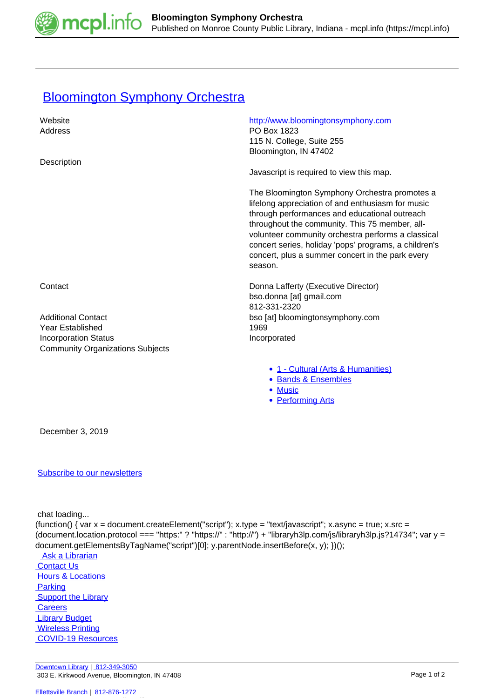

## **[Bloomington Symphony Orchestra](https://mcpl.info/commorg/bloomington-symphony-orchestra)**

| Website                                 | http://www.bloomingtonsymphony.com                                                                                                                                                                                                                                                                                                                                                  |
|-----------------------------------------|-------------------------------------------------------------------------------------------------------------------------------------------------------------------------------------------------------------------------------------------------------------------------------------------------------------------------------------------------------------------------------------|
| Address                                 | PO Box 1823                                                                                                                                                                                                                                                                                                                                                                         |
|                                         | 115 N. College, Suite 255                                                                                                                                                                                                                                                                                                                                                           |
|                                         | Bloomington, IN 47402                                                                                                                                                                                                                                                                                                                                                               |
| Description                             |                                                                                                                                                                                                                                                                                                                                                                                     |
|                                         | Javascript is required to view this map.                                                                                                                                                                                                                                                                                                                                            |
|                                         | The Bloomington Symphony Orchestra promotes a<br>lifelong appreciation of and enthusiasm for music<br>through performances and educational outreach<br>throughout the community. This 75 member, all-<br>volunteer community orchestra performs a classical<br>concert series, holiday 'pops' programs, a children's<br>concert, plus a summer concert in the park every<br>season. |
| Contact                                 | Donna Lafferty (Executive Director)                                                                                                                                                                                                                                                                                                                                                 |
|                                         | bso.donna [at] gmail.com                                                                                                                                                                                                                                                                                                                                                            |
|                                         | 812-331-2320                                                                                                                                                                                                                                                                                                                                                                        |
| <b>Additional Contact</b>               | bso [at] bloomingtonsymphony.com                                                                                                                                                                                                                                                                                                                                                    |
| Year Established                        | 1969                                                                                                                                                                                                                                                                                                                                                                                |
| <b>Incorporation Status</b>             | Incorporated                                                                                                                                                                                                                                                                                                                                                                        |
| <b>Community Organizations Subjects</b> |                                                                                                                                                                                                                                                                                                                                                                                     |
|                                         | • 1 - Cultural (Arts & Humanities)                                                                                                                                                                                                                                                                                                                                                  |
|                                         | • Rande & Encambles                                                                                                                                                                                                                                                                                                                                                                 |

- <u>ds & Ensembl</u>
- [Music](https://mcpl.info/taxonomy/term/25029)
- [Performing Arts](https://mcpl.info/taxonomy/term/25031)

December 3, 2019

## [Subscribe to our newsletters](https://mcpl.info/geninfo/subscribe-think-library-newsletter)

chat loading...

(function() { var  $x =$  document.createElement("script");  $x.$ type = "text/javascript";  $x.$ async = true;  $x.$ src = (document.location.protocol === "https:" ? "https://" : "http://") + "libraryh3lp.com/js/libraryh3lp.js?14734"; var y = document.getElementsByTagName("script")[0]; y.parentNode.insertBefore(x, y); })();

Ask a Librarian  [Contact Us](https://mcpl.info/geninfo/contact-us)  [Hours & Locations](https://mcpl.info/geninfo/hours-and-locations) **Parking Support the Library Careers Library Budget**  [Wireless Printing](https://tbs.eprintit.com/portal/#/ppl/upload/monroecpl)  [COVID-19 Resources](https://mcpl.info/geninfo/local-covid-resources)